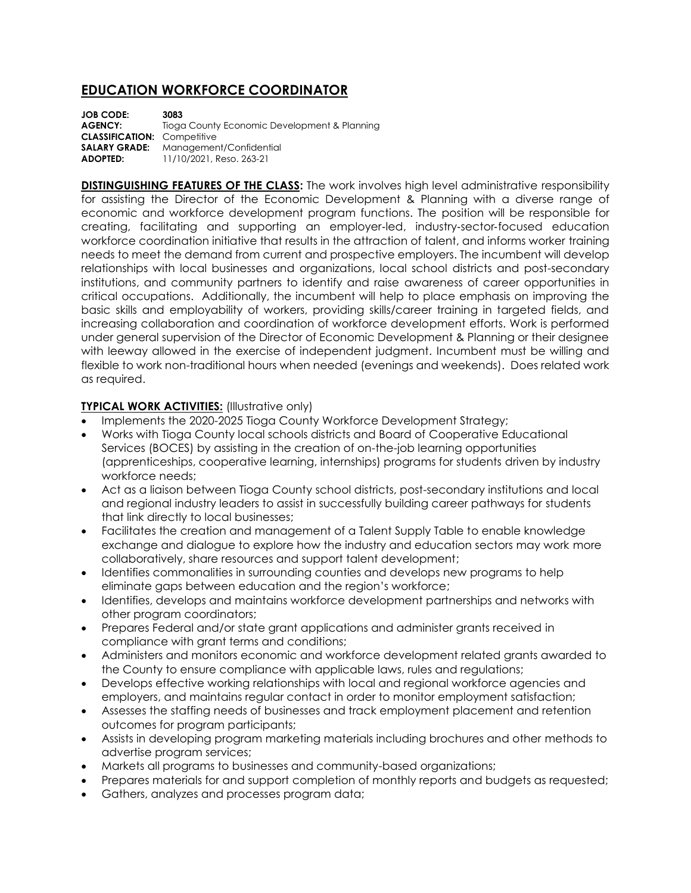## **EDUCATION WORKFORCE COORDINATOR**

**JOB CODE: 3083 AGENCY:** Tioga County Economic Development & Planning **CLASSIFICATION:** Competitive **SALARY GRADE:** Management/Confidential **ADOPTED:** 11/10/2021, Reso. 263-21

**DISTINGUISHING FEATURES OF THE CLASS:** The work involves high level administrative responsibility for assisting the Director of the Economic Development & Planning with a diverse range of economic and workforce development program functions. The position will be responsible for creating, facilitating and supporting an employer‐led, industry‐sector‐focused education workforce coordination initiative that results in the attraction of talent, and informs worker training needs to meet the demand from current and prospective employers. The incumbent will develop relationships with local businesses and organizations, local school districts and post-secondary institutions, and community partners to identify and raise awareness of career opportunities in critical occupations. Additionally, the incumbent will help to place emphasis on improving the basic skills and employability of workers, providing skills/career training in targeted fields, and increasing collaboration and coordination of workforce development efforts. Work is performed under general supervision of the Director of Economic Development & Planning or their designee with leeway allowed in the exercise of independent judgment. Incumbent must be willing and flexible to work non-traditional hours when needed (evenings and weekends). Does related work as required.

## **TYPICAL WORK ACTIVITIES:** (Illustrative only)

- Implements the 2020-2025 Tioga County Workforce Development Strategy;
- Works with Tioga County local schools districts and Board of Cooperative Educational Services (BOCES) by assisting in the creation of on-the-job learning opportunities (apprenticeships, cooperative learning, internships) programs for students driven by industry workforce needs;
- Act as a liaison between Tioga County school districts, post-secondary institutions and local and regional industry leaders to assist in successfully building career pathways for students that link directly to local businesses;
- Facilitates the creation and management of a Talent Supply Table to enable knowledge exchange and dialogue to explore how the industry and education sectors may work more collaboratively, share resources and support talent development;
- Identifies commonalities in surrounding counties and develops new programs to help eliminate gaps between education and the region's workforce;
- Identifies, develops and maintains workforce development partnerships and networks with other program coordinators;
- Prepares Federal and/or state grant applications and administer grants received in compliance with grant terms and conditions;
- Administers and monitors economic and workforce development related grants awarded to the County to ensure compliance with applicable laws, rules and regulations;
- Develops effective working relationships with local and regional workforce agencies and employers, and maintains regular contact in order to monitor employment satisfaction;
- Assesses the staffing needs of businesses and track employment placement and retention outcomes for program participants;
- Assists in developing program marketing materials including brochures and other methods to advertise program services;
- Markets all programs to businesses and community-based organizations;
- Prepares materials for and support completion of monthly reports and budgets as requested;
- Gathers, analyzes and processes program data;